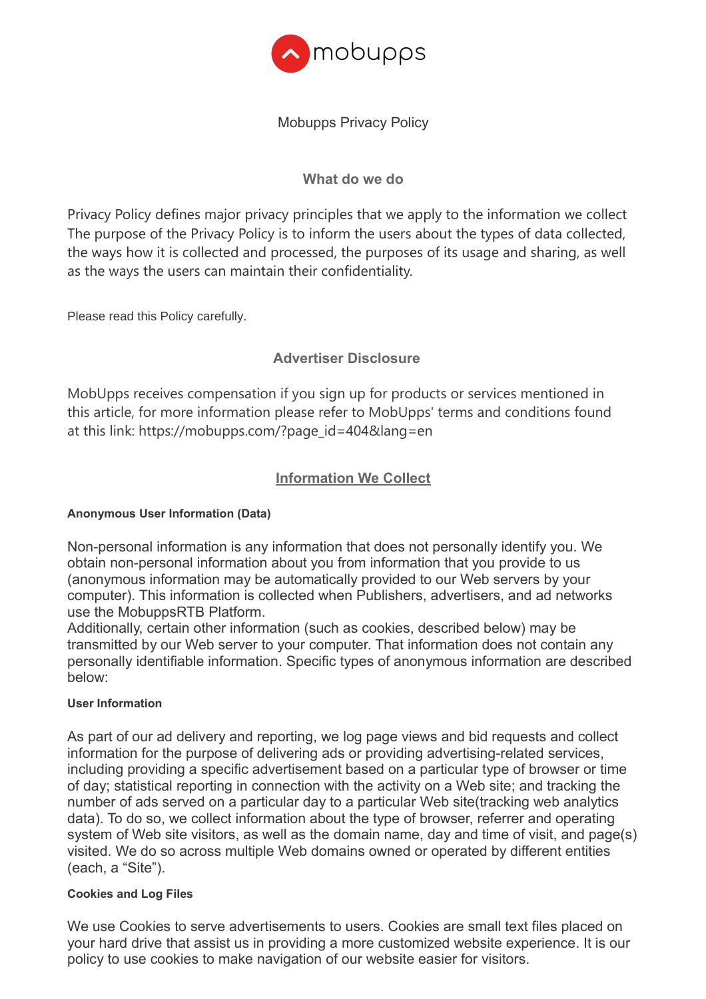

# Mobupps Privacy Policy

# **What do we do**

Privacy Policy defines major privacy principles that we apply to the information we collect The purpose of the Privacy Policy is to inform the users about the types of data collected, the ways how it is collected and processed, the purposes of its usage and sharing, as well as the ways the users can maintain their confidentiality.

Please read this Policy carefully.

# **Advertiser Disclosure**

MobUpps receives compensation if you sign up for products or services mentioned in this article, for more information please refer to MobUpps' terms and conditions found at this link: https://mobupps.com/?page\_id=404&lang=en

## **Information We Collect**

#### **Anonymous User Information (Data)**

Non-personal information is any information that does not personally identify you. We obtain non-personal information about you from information that you provide to us (anonymous information may be automatically provided to our Web servers by your computer). This information is collected when Publishers, advertisers, and ad networks use the MobuppsRTB Platform.

Additionally, certain other information (such as cookies, described below) may be transmitted by our Web server to your computer. That information does not contain any personally identifiable information. Specific types of anonymous information are described below:

#### **User Information**

As part of our ad delivery and reporting, we log page views and bid requests and collect information for the purpose of delivering ads or providing advertising-related services, including providing a specific advertisement based on a particular type of browser or time of day; statistical reporting in connection with the activity on a Web site; and tracking the number of ads served on a particular day to a particular Web site(tracking web analytics data). To do so, we collect information about the type of browser, referrer and operating system of Web site visitors, as well as the domain name, day and time of visit, and page(s) visited. We do so across multiple Web domains owned or operated by different entities (each, a "Site").

#### **Cookies and Log Files**

We use Cookies to serve advertisements to users. Cookies are small text files placed on your hard drive that assist us in providing a more customized website experience. It is our policy to use cookies to make navigation of our website easier for visitors.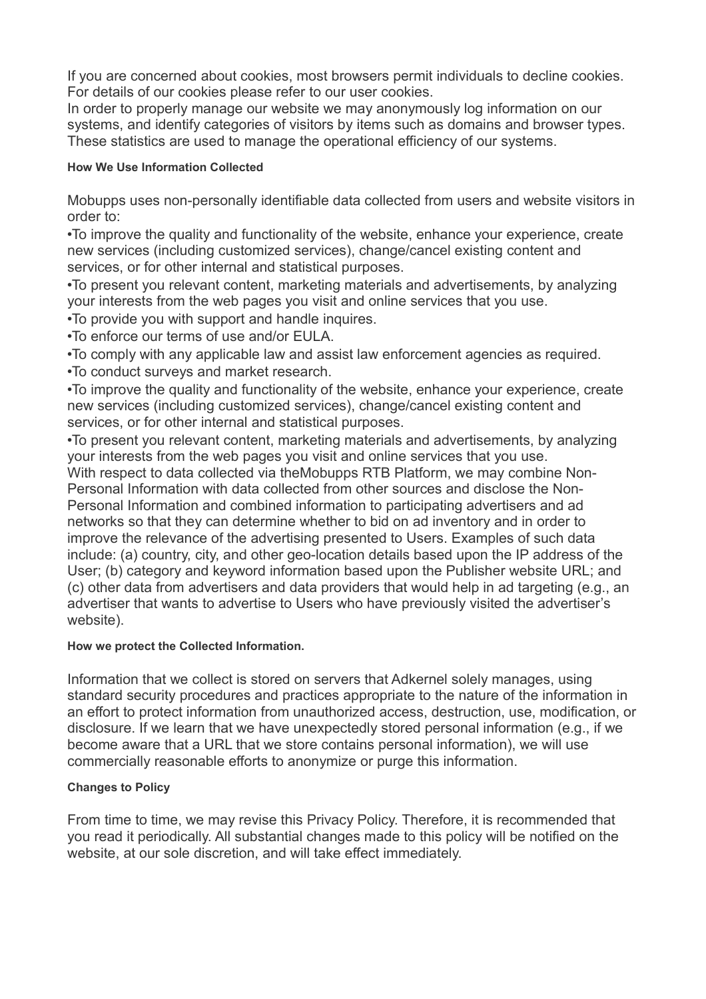If you are concerned about cookies, most browsers permit individuals to decline cookies. For details of our cookies please refer to our user cookies.

In order to properly manage our website we may anonymously log information on our systems, and identify categories of visitors by items such as domains and browser types. These statistics are used to manage the operational efficiency of our systems.

## **How We Use Information Collected**

Mobupps uses non-personally identifiable data collected from users and website visitors in order to:

•To improve the quality and functionality of the website, enhance your experience, create new services (including customized services), change/cancel existing content and services, or for other internal and statistical purposes.

•To present you relevant content, marketing materials and advertisements, by analyzing your interests from the web pages you visit and online services that you use.

•To provide you with support and handle inquires.

•To enforce our terms of use and/or EULA.

•To comply with any applicable law and assist law enforcement agencies as required.

•To conduct surveys and market research.

•To improve the quality and functionality of the website, enhance your experience, create new services (including customized services), change/cancel existing content and services, or for other internal and statistical purposes.

•To present you relevant content, marketing materials and advertisements, by analyzing your interests from the web pages you visit and online services that you use. With respect to data collected via theMobupps RTB Platform, we may combine Non-Personal Information with data collected from other sources and disclose the Non-

Personal Information and combined information to participating advertisers and ad networks so that they can determine whether to bid on ad inventory and in order to improve the relevance of the advertising presented to Users. Examples of such data include: (a) country, city, and other geo-location details based upon the IP address of the User; (b) category and keyword information based upon the Publisher website URL; and (c) other data from advertisers and data providers that would help in ad targeting (e.g., an advertiser that wants to advertise to Users who have previously visited the advertiser's website).

## **How we protect the Collected Information.**

Information that we collect is stored on servers that Adkernel solely manages, using standard security procedures and practices appropriate to the nature of the information in an effort to protect information from unauthorized access, destruction, use, modification, or disclosure. If we learn that we have unexpectedly stored personal information (e.g., if we become aware that a URL that we store contains personal information), we will use commercially reasonable efforts to anonymize or purge this information.

## **Changes to Policy**

From time to time, we may revise this Privacy Policy. Therefore, it is recommended that you read it periodically. All substantial changes made to this policy will be notified on the website, at our sole discretion, and will take effect immediately.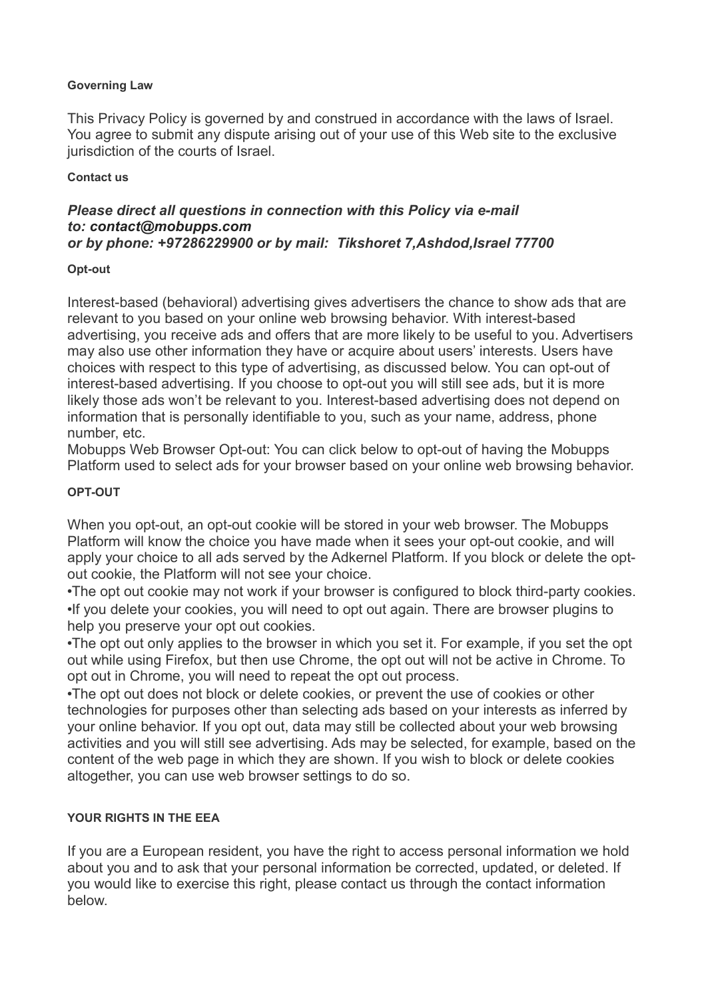### **Governing Law**

This Privacy Policy is governed by and construed in accordance with the laws of Israel. You agree to submit any dispute arising out of your use of this Web site to the exclusive jurisdiction of the courts of Israel.

#### **Contact us**

#### *Please direct all questions in connection with this Policy via e-mail to: [contact@mobupps.com](mailto:contact@adkernel.com) or by phone: +97286229900 or by mail: Tikshoret 7,Ashdod,Israel 77700*

### **Opt-out**

Interest-based (behavioral) advertising gives advertisers the chance to show ads that are relevant to you based on your online web browsing behavior. With interest-based advertising, you receive ads and offers that are more likely to be useful to you. Advertisers may also use other information they have or acquire about users' interests. Users have choices with respect to this type of advertising, as discussed below. You can opt-out of interest-based advertising. If you choose to opt-out you will still see ads, but it is more likely those ads won't be relevant to you. Interest-based advertising does not depend on information that is personally identifiable to you, such as your name, address, phone number, etc.

Mobupps Web Browser Opt-out: You can click below to opt-out of having the Mobupps Platform used to select ads for your browser based on your online web browsing behavior.

### **OPT-OUT**

When you opt-out, an opt-out cookie will be stored in your web browser. The Mobupps Platform will know the choice you have made when it sees your opt-out cookie, and will apply your choice to all ads served by the Adkernel Platform. If you block or delete the optout cookie, the Platform will not see your choice.

•The opt out cookie may not work if your browser is configured to block third-party cookies. •If you delete your cookies, you will need to opt out again. There are browser plugins to help you preserve your opt out cookies.

•The opt out only applies to the browser in which you set it. For example, if you set the opt out while using Firefox, but then use Chrome, the opt out will not be active in Chrome. To opt out in Chrome, you will need to repeat the opt out process.

•The opt out does not block or delete cookies, or prevent the use of cookies or other technologies for purposes other than selecting ads based on your interests as inferred by your online behavior. If you opt out, data may still be collected about your web browsing activities and you will still see advertising. Ads may be selected, for example, based on the content of the web page in which they are shown. If you wish to block or delete cookies altogether, you can use web browser settings to do so.

## **YOUR RIGHTS IN THE EEA**

If you are a European resident, you have the right to access personal information we hold about you and to ask that your personal information be corrected, updated, or deleted. If you would like to exercise this right, please contact us through the contact information below.